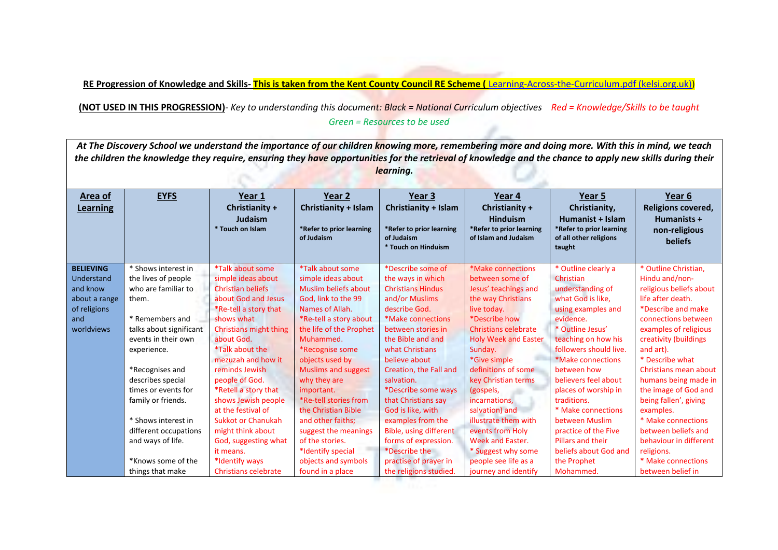**RE Progression of Knowledge and Skills- This is taken from the Kent County Council RE Scheme (** [Learning-Across-the-Curriculum.pdf \(kelsi.org.uk\)\)](https://www.kelsi.org.uk/__data/assets/pdf_file/0012/89769/Learning-Across-the-Curriculum.pdf)

**(NOT USED IN THIS PROGRESSION)***- Key to understanding this document: Black = National Curriculum objectives Red = Knowledge/Skills to be taught Green = Resources to be used*  $\mathbb{Z}_{-}$ 

| At The Discovery School we understand the importance of our children knowing more, remembering more and doing more. With this in mind, we teach          |                         |                             |                                        |                                        |                                                  |                                                    |                           |  |
|----------------------------------------------------------------------------------------------------------------------------------------------------------|-------------------------|-----------------------------|----------------------------------------|----------------------------------------|--------------------------------------------------|----------------------------------------------------|---------------------------|--|
| the children the knowledge they require, ensuring they have opportunities for the retrieval of knowledge and the chance to apply new skills during their |                         |                             |                                        |                                        |                                                  |                                                    |                           |  |
| learning.                                                                                                                                                |                         |                             |                                        |                                        |                                                  |                                                    |                           |  |
|                                                                                                                                                          |                         |                             |                                        |                                        |                                                  |                                                    |                           |  |
|                                                                                                                                                          | <b>EYFS</b>             |                             |                                        | Year 3                                 |                                                  |                                                    |                           |  |
| Area of                                                                                                                                                  |                         | Year 1                      | Year 2                                 |                                        | Year 4                                           | Year 5                                             | Year 6                    |  |
| <b>Learning</b>                                                                                                                                          |                         | Christianity +              | Christianity + Islam                   | Christianity + Islam                   | Christianity +                                   | Christianity,                                      | <b>Religions covered,</b> |  |
|                                                                                                                                                          |                         | Judaism<br>* Touch on Islam |                                        |                                        | <b>Hinduism</b>                                  | Humanist + Islam                                   | Humanists +               |  |
|                                                                                                                                                          |                         |                             | *Refer to prior learning<br>of Judaism | *Refer to prior learning<br>of Judaism | *Refer to prior learning<br>of Islam and Judaism | *Refer to prior learning<br>of all other religions | non-religious             |  |
|                                                                                                                                                          |                         |                             |                                        | * Touch on Hinduism                    |                                                  | taught                                             | beliefs                   |  |
|                                                                                                                                                          |                         |                             |                                        |                                        |                                                  |                                                    |                           |  |
| <b>BELIEVING</b>                                                                                                                                         | * Shows interest in     | *Talk about some            | *Talk about some                       | *Describe some of                      | *Make connections                                | * Outline clearly a                                | * Outline Christian,      |  |
| Understand                                                                                                                                               | the lives of people     | simple ideas about          | simple ideas about                     | the ways in which                      | between some of                                  | Christian                                          | Hindu and/non-            |  |
| and know                                                                                                                                                 | who are familiar to     | <b>Christian beliefs</b>    | <b>Muslim beliefs about</b>            | <b>Christians Hindus</b>               | Jesus' teachings and                             | understanding of                                   | religious beliefs about   |  |
| about a range                                                                                                                                            | them.                   | about God and Jesus         | God, link to the 99                    | and/or Muslims                         | the way Christians                               | what God is like,                                  | life after death.         |  |
| of religions                                                                                                                                             |                         | *Re-tell a story that       | Names of Allah.                        | describe God.                          | live today.                                      | using examples and                                 | *Describe and make        |  |
| and                                                                                                                                                      | * Remembers and         | shows what                  | *Re-tell a story about                 | *Make connections                      | *Describe how                                    | evidence.                                          | connections between       |  |
| worldviews                                                                                                                                               | talks about significant | Christians might thing      | the life of the Prophet                | between stories in                     | <b>Christians celebrate</b>                      | * Outline Jesus'                                   | examples of religious     |  |
|                                                                                                                                                          | events in their own     | about God.                  | Muhammed.                              | the Bible and and                      | <b>Holy Week and Easter</b>                      | teaching on how his                                | creativity (buildings     |  |
|                                                                                                                                                          | experience.             | *Talk about the             | *Recognise some                        | what Christians                        | Sunday.                                          | followers should live.                             | and art).                 |  |
|                                                                                                                                                          |                         | mezuzah and how it          | objects used by                        | believe about                          | *Give simple                                     | *Make connections                                  | * Describe what           |  |
|                                                                                                                                                          | *Recognises and         | reminds Jewish              | <b>Muslims and suggest</b>             | Creation, the Fall and                 | definitions of some                              | between how                                        | Christians mean about     |  |
|                                                                                                                                                          | describes special       | people of God.              | why they are                           | salvation.                             | key Christian terms                              | believers feel about                               | humans being made in      |  |
|                                                                                                                                                          | times or events for     | *Retell a story that        | important.                             | *Describe some ways                    | (gospels,                                        | places of worship in                               | the image of God and      |  |
|                                                                                                                                                          | family or friends.      | shows Jewish people         | *Re-tell stories from                  | that Christians say                    | incarnations,                                    | traditions.                                        | being fallen', giving     |  |
|                                                                                                                                                          |                         | at the festival of          | the Christian Bible                    | God is like, with                      | salvation) and                                   | * Make connections                                 | examples.                 |  |
|                                                                                                                                                          | * Shows interest in     | <b>Sukkot or Chanukah</b>   | and other faiths;                      | examples from the                      | illustrate them with                             | between Muslim                                     | * Make connections        |  |
|                                                                                                                                                          | different occupations   | might think about           | suggest the meanings                   | Bible, using different                 | events from Holy                                 | practice of the Five                               | between beliefs and       |  |
|                                                                                                                                                          | and ways of life.       | God, suggesting what        | of the stories.                        | forms of expression.                   | <b>Week and Easter.</b>                          | <b>Pillars and their</b>                           | behaviour in different    |  |
|                                                                                                                                                          |                         | it means.                   | *Identify special                      | *Describe the                          | * Suggest why some                               | beliefs about God and                              | religions.                |  |
|                                                                                                                                                          | *Knows some of the      | *Identify ways              | objects and symbols                    | practise of prayer in                  | people see life as a                             | the Prophet                                        | * Make connections        |  |
|                                                                                                                                                          | things that make        | <b>Christians celebrate</b> | found in a place                       | the religions studied.                 | journey and identify                             | Mohammed.                                          | between belief in         |  |

the religions studies.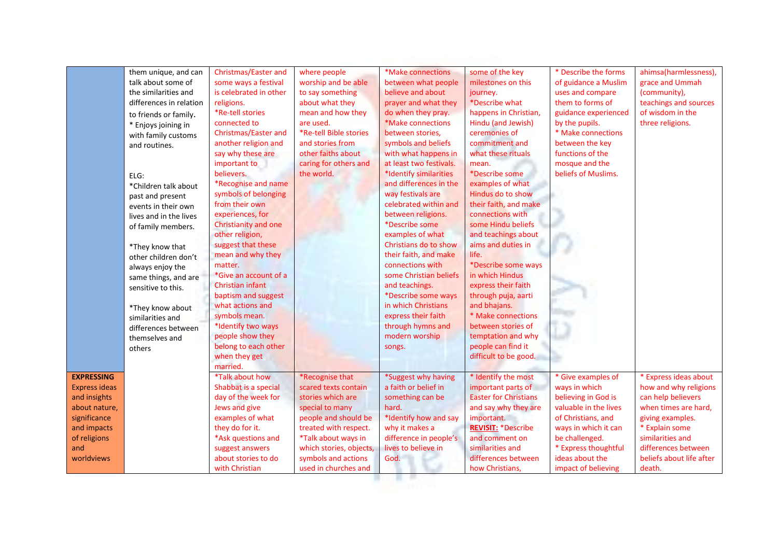|                      | them unique, and can    | Christmas/Easter and   | where people            | *Make connections                          | some of the key              | * Describe the forms  | ahimsa(harmlessness),    |
|----------------------|-------------------------|------------------------|-------------------------|--------------------------------------------|------------------------------|-----------------------|--------------------------|
|                      | talk about some of      | some ways a festival   | worship and be able     | between what people                        | milestones on this           | of guidance a Muslim  | grace and Ummah          |
|                      | the similarities and    | is celebrated in other | to say something        | believe and about                          | journey.                     | uses and compare      | (community),             |
|                      | differences in relation | religions.             | about what they         | prayer and what they                       | *Describe what               | them to forms of      | teachings and sources    |
|                      |                         | *Re-tell stories       | mean and how they       | do when they pray.                         | happens in Christian,        | guidance experienced  | of wisdom in the         |
|                      | to friends or family.   | connected to           | are used.               | *Make connections                          | Hindu (and Jewish)           | by the pupils.        | three religions.         |
|                      | * Enjoys joining in     | Christmas/Easter and   | *Re-tell Bible stories  | between stories,                           | ceremonies of                | * Make connections    |                          |
|                      | with family customs     | another religion and   | and stories from        | symbols and beliefs                        | commitment and               | between the key       |                          |
|                      | and routines.           | say why these are      | other faiths about      | with what happens in                       | what these rituals           | functions of the      |                          |
|                      |                         | important to           | caring for others and   | at least two festivals.                    | mean.                        | mosque and the        |                          |
|                      |                         | believers.             | the world.              | *Identify similarities                     | *Describe some               | beliefs of Muslims.   |                          |
|                      | ELG:                    |                        |                         | and differences in the                     | examples of what             |                       |                          |
|                      | *Children talk about    | *Recognise and name    |                         |                                            | Hindus do to show            |                       |                          |
|                      | past and present        | symbols of belonging   |                         | way festivals are<br>celebrated within and |                              |                       |                          |
|                      | events in their own     | from their own         |                         |                                            | their faith, and make        |                       |                          |
|                      | lives and in the lives  | experiences, for       |                         | between religions.                         | connections with             |                       |                          |
|                      | of family members.      | Christianity and one   |                         | *Describe some                             | some Hindu beliefs           |                       |                          |
|                      |                         | other religion,        |                         | examples of what                           | and teachings about          |                       |                          |
|                      | *They know that         | suggest that these     |                         | Christians do to show                      | aims and duties in           |                       |                          |
|                      | other children don't    | mean and why they      |                         | their faith, and make                      | life.                        |                       |                          |
|                      | always enjoy the        | matter.                |                         | connections with                           | *Describe some ways          |                       |                          |
|                      | same things, and are    | *Give an account of a  |                         | some Christian beliefs                     | in which Hindus              |                       |                          |
|                      | sensitive to this.      | Christian infant       |                         | and teachings.                             | express their faith          |                       |                          |
|                      |                         | baptism and suggest    |                         | *Describe some ways                        | through puja, aarti          |                       |                          |
|                      | *They know about        | what actions and       |                         | in which Christians                        | and bhajans.                 |                       |                          |
|                      | similarities and        | symbols mean.          |                         | express their faith                        | * Make connections           |                       |                          |
|                      | differences between     | *Identify two ways     |                         | through hymns and                          | between stories of           |                       |                          |
|                      | themselves and          | people show they       |                         | modern worship                             | temptation and why           |                       |                          |
|                      | others                  | belong to each other   |                         | songs.                                     | people can find it           |                       |                          |
|                      |                         | when they get          |                         |                                            | difficult to be good.        |                       |                          |
|                      |                         | married.               |                         |                                            |                              |                       |                          |
| <b>EXPRESSING</b>    |                         | *Talk about how        | *Recognise that         | *Suggest why having                        | * Identify the most          | * Give examples of    | * Express ideas about    |
| <b>Express ideas</b> |                         | Shabbat is a special   | scared texts contain    | a faith or belief in                       | important parts of           | ways in which         | how and why religions    |
| and insights         |                         | day of the week for    | stories which are       | something can be                           | <b>Easter for Christians</b> | believing in God is   | can help believers       |
| about nature,        |                         | Jews and give          | special to many         | hard.                                      | and say why they are         | valuable in the lives | when times are hard,     |
| significance         |                         | examples of what       | people and should be    | *Identify how and say                      | important.                   | of Christians, and    | giving examples.         |
| and impacts          |                         | they do for it.        | treated with respect.   | why it makes a                             | <b>REVISIT: *Describe</b>    | ways in which it can  | * Explain some           |
| of religions         |                         | *Ask questions and     | *Talk about ways in     | difference in people's                     | and comment on               | be challenged.        | similarities and         |
| and                  |                         | suggest answers        | which stories, objects, | lives to believe in                        | similarities and             | * Express thoughtful  | differences between      |
| worldviews           |                         | about stories to do    | symbols and actions     | God.                                       | differences between          | ideas about the       | beliefs about life after |
|                      |                         | with Christian         | used in churches and    |                                            | how Christians,              | impact of believing   | death.                   |

**All Service**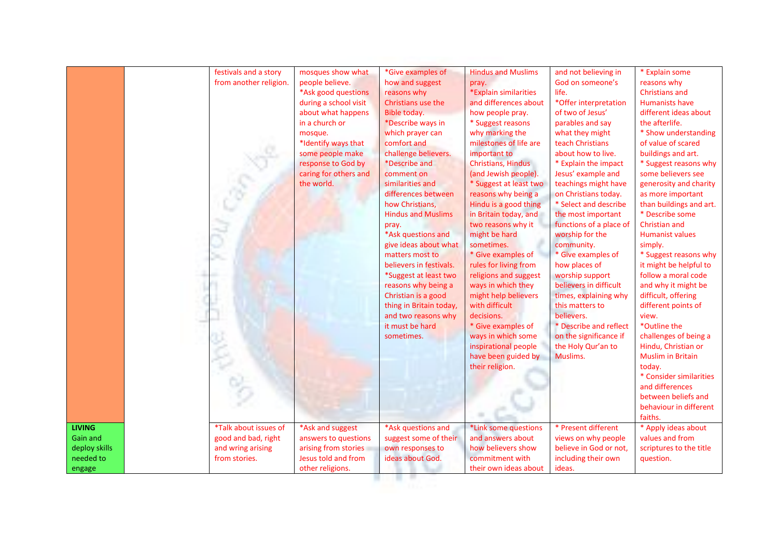|               | festivals and a story  | mosques show what     | *Give examples of         | <b>Hindus and Muslims</b> | and not believing in    | * Explain some           |
|---------------|------------------------|-----------------------|---------------------------|---------------------------|-------------------------|--------------------------|
|               | from another religion. | people believe.       | how and suggest           | pray.                     | God on someone's        | reasons why              |
|               |                        | *Ask good questions   | reasons why               | *Explain similarities     | life.                   | <b>Christians and</b>    |
|               |                        | during a school visit | Christians use the        | and differences about     | *Offer interpretation   | Humanists have           |
|               |                        | about what happens    | Bible today.              | how people pray.          | of two of Jesus'        | different ideas about    |
|               |                        | in a church or        | *Describe ways in         | * Suggest reasons         | parables and say        | the afterlife.           |
|               |                        | mosque.               | which prayer can          | why marking the           | what they might         | * Show understanding     |
|               |                        | *Identify ways that   | comfort and               | milestones of life are    | teach Christians        | of value of scared       |
|               |                        | some people make      | challenge believers.      | important to              | about how to live.      | buildings and art.       |
|               |                        | response to God by    | <i>*Describe and</i>      | Christians, Hindus        | * Explain the impact    | * Suggest reasons why    |
|               |                        | caring for others and | comment on                | (and Jewish people).      | Jesus' example and      | some believers see       |
|               |                        | the world.            | similarities and          | * Suggest at least two    | teachings might have    | generosity and charity   |
|               |                        |                       | differences between       | reasons why being a       | on Christians today.    | as more important        |
|               |                        |                       | how Christians,           | Hindu is a good thing     | * Select and describe   | than buildings and art.  |
|               |                        |                       | <b>Hindus and Muslims</b> | in Britain today, and     | the most important      | * Describe some          |
|               |                        |                       | pray.                     | two reasons why it        | functions of a place of | Christian and            |
|               |                        |                       | *Ask questions and        | might be hard             | worship for the         | <b>Humanist values</b>   |
|               |                        |                       | give ideas about what     | sometimes.                | community.              | simply.                  |
|               |                        |                       | matters most to           | * Give examples of        | * Give examples of      | * Suggest reasons why    |
|               |                        |                       | believers in festivals.   | rules for living from     | how places of           | it might be helpful to   |
|               |                        |                       | *Suggest at least two     | religions and suggest     | worship support         | follow a moral code      |
|               |                        |                       | reasons why being a       | ways in which they        | believers in difficult  | and why it might be      |
|               |                        |                       | Christian is a good       | might help believers      | times, explaining why   | difficult, offering      |
|               |                        |                       | thing in Britain today,   | with difficult            | this matters to         | different points of      |
|               |                        |                       | and two reasons why       | decisions.                | believers.              | view.                    |
|               |                        |                       | it must be hard           | * Give examples of        | * Describe and reflect  | *Outline the             |
|               |                        |                       | sometimes.                | ways in which some        | on the significance if  | challenges of being a    |
|               |                        |                       |                           | inspirational people      | the Holy Qur'an to      | Hindu, Christian or      |
|               |                        |                       |                           | have been guided by       | Muslims.                | <b>Muslim in Britain</b> |
|               |                        |                       |                           | their religion.           |                         | today.                   |
|               |                        |                       |                           |                           |                         | * Consider similarities  |
|               |                        |                       |                           |                           |                         | and differences          |
|               |                        |                       |                           |                           |                         | between beliefs and      |
|               |                        |                       |                           |                           |                         | behaviour in different   |
|               |                        |                       |                           |                           |                         | faiths.                  |
| <b>LIVING</b> | *Talk about issues of  | *Ask and suggest      | *Ask questions and        | *Link some questions      | * Present different     | * Apply ideas about      |
| Gain and      | good and bad, right    | answers to questions  | suggest some of their     | and answers about         | views on why people     | values and from          |
| deploy skills | and wring arising      | arising from stories  | own responses to          | how believers show        | believe in God or not,  | scriptures to the title  |
| needed to     | from stories.          | Jesus told and from   | ideas about God.          | commitment with           | including their own     | question.                |
| engage        |                        | other religions.      |                           | their own ideas about     | ideas.                  |                          |
|               |                        |                       |                           |                           |                         |                          |
|               |                        |                       |                           |                           |                         |                          |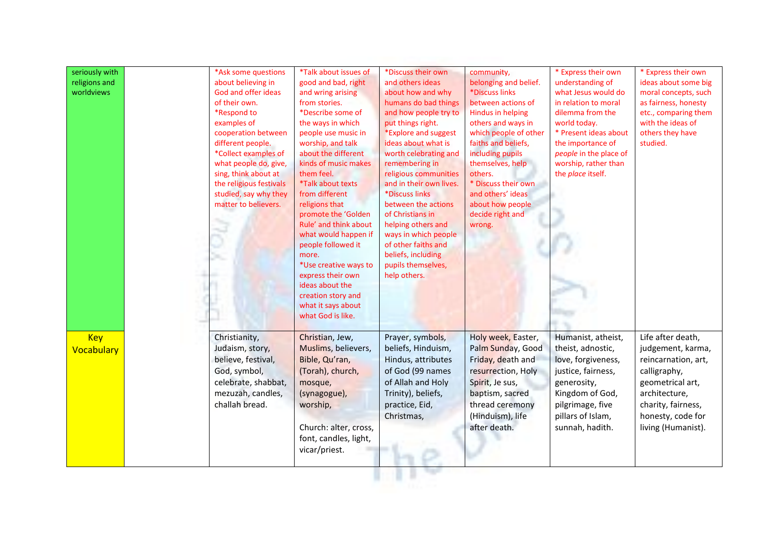| seriously with<br>religions and<br>worldviews | *Ask some questions<br>about believing in<br>God and offer ideas<br>of their own.<br>*Respond to<br>examples of<br>cooperation between<br>different people.<br>*Collect examples of<br>what people do, give,<br>sing, think about at<br>the religious festivals<br>studied, say why they<br>matter to believers. | *Talk about issues of<br>good and bad, right<br>and wring arising<br>from stories.<br>*Describe some of<br>the ways in which<br>people use music in<br>worship, and talk<br>about the different<br>kinds of music makes<br>them feel.<br>*Talk about texts<br>from different<br>religions that<br>promote the 'Golden<br>Rule' and think about<br>what would happen if<br>people followed it<br>more.<br>*Use creative ways to<br>express their own<br>ideas about the<br>creation story and<br>what it says about<br>what God is like. | *Discuss their own<br>and others ideas<br>about how and why<br>humans do bad things<br>and how people try to<br>put things right.<br>*Explore and suggest<br>ideas about what is<br>worth celebrating and<br>remembering in<br>religious communities<br>and in their own lives.<br>*Discuss links<br>between the actions<br>of Christians in<br>helping others and<br>ways in which people<br>of other faiths and<br>beliefs, including<br>pupils themselves,<br>help others. | community,<br>belonging and belief.<br>*Discuss links<br>between actions of<br>Hindus in helping<br>others and ways in<br>which people of other<br>faiths and beliefs,<br>including pupils<br>themselves, help<br>others.<br>* Discuss their own<br>and others' ideas<br>about how people<br>decide right and<br>wrong. | * Express their own<br>understanding of<br>what Jesus would do<br>in relation to moral<br>dilemma from the<br>world today.<br>* Present ideas about<br>the importance of<br>people in the place of<br>worship, rather than<br>the place itself. | * Express their own<br>ideas about some big<br>moral concepts, such<br>as fairness, honesty<br>etc., comparing them<br>with the ideas of<br>others they have<br>studied.            |
|-----------------------------------------------|------------------------------------------------------------------------------------------------------------------------------------------------------------------------------------------------------------------------------------------------------------------------------------------------------------------|-----------------------------------------------------------------------------------------------------------------------------------------------------------------------------------------------------------------------------------------------------------------------------------------------------------------------------------------------------------------------------------------------------------------------------------------------------------------------------------------------------------------------------------------|-------------------------------------------------------------------------------------------------------------------------------------------------------------------------------------------------------------------------------------------------------------------------------------------------------------------------------------------------------------------------------------------------------------------------------------------------------------------------------|-------------------------------------------------------------------------------------------------------------------------------------------------------------------------------------------------------------------------------------------------------------------------------------------------------------------------|-------------------------------------------------------------------------------------------------------------------------------------------------------------------------------------------------------------------------------------------------|-------------------------------------------------------------------------------------------------------------------------------------------------------------------------------------|
| <b>Key</b><br>Vocabulary                      | Christianity,<br>Judaism, story,<br>believe, festival,<br>God, symbol,<br>celebrate, shabbat,<br>mezuzah, candles,<br>challah bread.                                                                                                                                                                             | Christian, Jew,<br>Muslims, believers,<br>Bible, Qu'ran,<br>(Torah), church,<br>mosque,<br>(synagogue),<br>worship,<br>Church: alter, cross,<br>font, candles, light,<br>vicar/priest.                                                                                                                                                                                                                                                                                                                                                  | Prayer, symbols,<br>beliefs, Hinduism,<br>Hindus, attributes<br>of God (99 names<br>of Allah and Holy<br>Trinity), beliefs,<br>practice, Eid,<br>Christmas,                                                                                                                                                                                                                                                                                                                   | Holy week, Easter,<br>Palm Sunday, Good<br>Friday, death and<br>resurrection, Holy<br>Spirit, Je sus,<br>baptism, sacred<br>thread ceremony<br>(Hinduism), life<br>after death.                                                                                                                                         | Humanist, atheist,<br>theist, adnostic,<br>love, forgiveness,<br>justice, fairness,<br>generosity,<br>Kingdom of God,<br>pilgrimage, five<br>pillars of Islam,<br>sunnah, hadith.                                                               | Life after death,<br>judgement, karma,<br>reincarnation, art,<br>calligraphy,<br>geometrical art,<br>architecture,<br>charity, fairness,<br>honesty, code for<br>living (Humanist). |